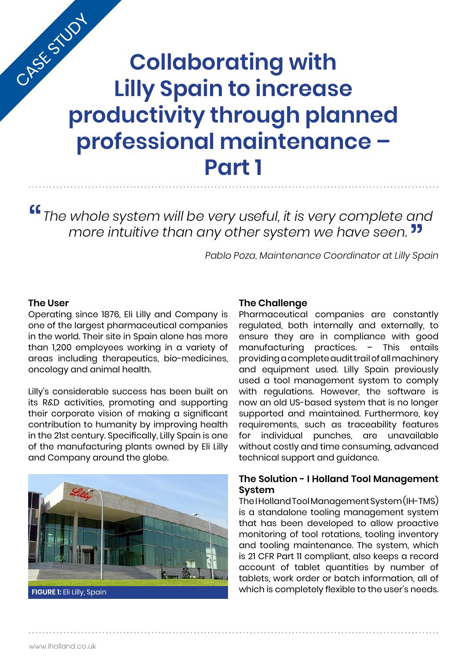# **Collaborating with Lilly Spain to increase productivity through planned professional maintenance – Part 1** CASE STUDY

*The whole system will be very useful, it is very complete and more intuitive than any other system we have seen.* "

*Pablo Poza, Maintenance Coordinator at Lilly Spain* s<br>Sp

#### **The User**

Operating since 1876, Eli Lilly and Company is one of the largest pharmaceutical companies in the world. Their site in Spain alone has more than 1,200 employees working in a variety of areas including therapeutics, bio-medicines, oncology and animal health.

Lilly's considerable success has been built on its R&D activities, promoting and supporting their corporate vision of making a significant contribution to humanity by improving health in the 21st century. Specifically, Lilly Spain is one of the manufacturing plants owned by Eli Lilly and Company around the globe.



**FIGURE 1:** Eli Lilly, Spain

#### **The Challenge**

Pharmaceutical companies are constantly regulated, both internally and externally, to ensure they are in compliance with good manufacturing practices. – This entails providing a complete audit trail of all machinery and equipment used. Lilly Spain previously used a tool management system to comply with regulations. However, the software is now an old US-based system that is no longer supported and maintained. Furthermore, key requirements, such as traceability features for individual punches, are unavailable without costly and time consuming, advanced technical support and guidance.

## **The Solution - I Holland Tool Management System**

The I Holland Tool Management System (IH-TMS) is a standalone tooling management system that has been developed to allow proactive monitoring of tool rotations, tooling inventory and tooling maintenance. The system, which is 21 CFR Part 11 compliant, also keeps a record account of tablet quantities by number of tablets, work order or batch information, all of which is completely flexible to the user's needs.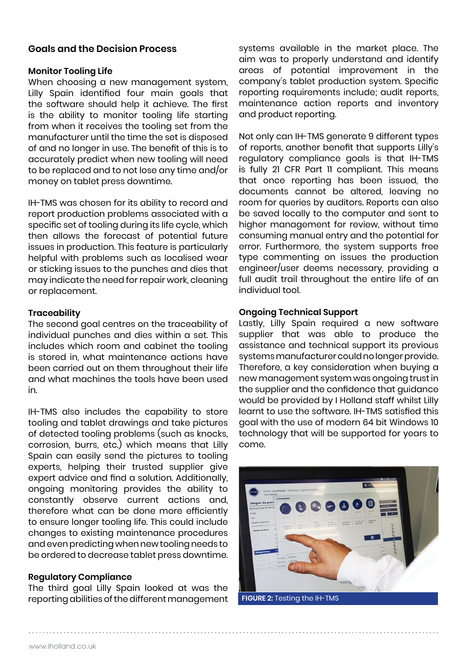## **Goals and the Decision Process**

#### **Monitor Tooling Life**

When choosing a new management system, Lilly Spain identified four main goals that the software should help it achieve. The first is the ability to monitor tooling life starting from when it receives the tooling set from the manufacturer until the time the set is disposed of and no longer in use. The benefit of this is to accurately predict when new tooling will need to be replaced and to not lose any time and/or money on tablet press downtime.

IH-TMS was chosen for its ability to record and report production problems associated with a specific set of tooling during its life cycle, which then allows the forecast of potential future issues in production. This feature is particularly helpful with problems such as localised wear or sticking issues to the punches and dies that may indicate the need for repair work, cleaning or replacement.

#### **Traceability**

The second goal centres on the traceability of individual punches and dies within a set. This includes which room and cabinet the tooling is stored in, what maintenance actions have been carried out on them throughout their life and what machines the tools have been used in.

IH-TMS also includes the capability to store tooling and tablet drawings and take pictures of detected tooling problems (such as knocks, corrosion, burrs, etc.) which means that Lilly Spain can easily send the pictures to tooling experts, helping their trusted supplier give expert advice and find a solution. Additionally, ongoing monitoring provides the ability to constantly observe current actions and, therefore what can be done more efficiently to ensure longer tooling life. This could include changes to existing maintenance procedures and even predicting when new tooling needs to be ordered to decrease tablet press downtime.

## **Regulatory Compliance**

The third goal Lilly Spain looked at was the reporting abilities of the different management systems available in the market place. The aim was to properly understand and identify areas of potential improvement in the company's tablet production system. Specific reporting requirements include; audit reports, maintenance action reports and inventory and product reporting.

Not only can IH-TMS generate 9 different types of reports, another benefit that supports Lilly's regulatory compliance goals is that IH-TMS is fully 21 CFR Part 11 compliant. This means that once reporting has been issued, the documents cannot be altered, leaving no room for queries by auditors. Reports can also be saved locally to the computer and sent to higher management for review, without time consuming manual entry and the potential for error. Furthermore, the system supports free type commenting on issues the production engineer/user deems necessary, providing a full audit trail throughout the entire life of an individual tool.

#### **Ongoing Technical Support**

Lastly, Lilly Spain required a new software supplier that was able to produce the assistance and technical support its previous systems manufacturer could no longer provide. Therefore, a key consideration when buying a new management system was ongoing trust in the supplier and the confidence that guidance would be provided by I Holland staff whilst Lilly learnt to use the software. IH-TMS satisfied this goal with the use of modern 64 bit Windows 10 technology that will be supported for years to come.